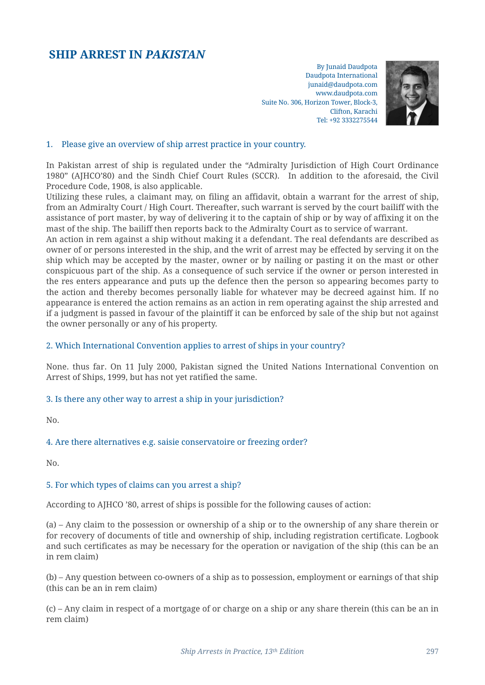# **SHIP ARREST IN** *PAKISTAN*

By Junaid Daudpota Daudpota International junaid@daudpota.com www.daudpota.com Suite No. 306, Horizon Tower, Block-3, Clifton, Karachi Tel: +92 3332275544



#### 1. Please give an overview of ship arrest practice in your country.

In Pakistan arrest of ship is regulated under the "Admiralty Jurisdiction of High Court Ordinance 1980" (AJHCO'80) and the Sindh Chief Court Rules (SCCR). In addition to the aforesaid, the Civil Procedure Code, 1908, is also applicable.

Utilizing these rules, a claimant may, on filing an affidavit, obtain a warrant for the arrest of ship, from an Admiralty Court / High Court. Thereafter, such warrant is served by the court bailiff with the assistance of port master, by way of delivering it to the captain of ship or by way of affixing it on the mast of the ship. The bailiff then reports back to the Admiralty Court as to service of warrant.

An action in rem against a ship without making it a defendant. The real defendants are described as owner of or persons interested in the ship, and the writ of arrest may be effected by serving it on the ship which may be accepted by the master, owner or by nailing or pasting it on the mast or other conspicuous part of the ship. As a consequence of such service if the owner or person interested in the res enters appearance and puts up the defence then the person so appearing becomes party to the action and thereby becomes personally liable for whatever may be decreed against him. If no appearance is entered the action remains as an action in rem operating against the ship arrested and if a judgment is passed in favour of the plaintiff it can be enforced by sale of the ship but not against the owner personally or any of his property.

#### 2. Which International Convention applies to arrest of ships in your country?

None. thus far. On 11 July 2000, Pakistan signed the United Nations International Convention on Arrest of Ships, 1999, but has not yet ratified the same.

#### 3. Is there any other way to arrest a ship in your jurisdiction?

No.

#### 4. Are there alternatives e.g. saisie conservatoire or freezing order?

No.

#### 5. For which types of claims can you arrest a ship?

According to AJHCO '80, arrest of ships is possible for the following causes of action:

(a) – Any claim to the possession or ownership of a ship or to the ownership of any share therein or for recovery of documents of title and ownership of ship, including registration certificate. Logbook and such certificates as may be necessary for the operation or navigation of the ship (this can be an in rem claim)

(b) – Any question between co-owners of a ship as to possession, employment or earnings of that ship (this can be an in rem claim)

(c) – Any claim in respect of a mortgage of or charge on a ship or any share therein (this can be an in rem claim)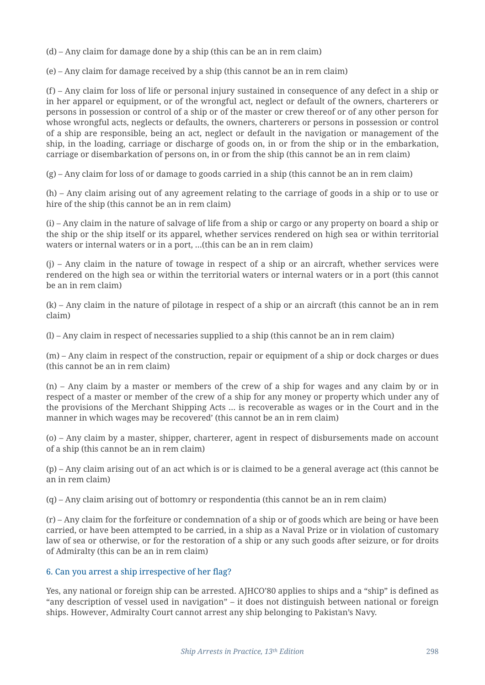(d) – Any claim for damage done by a ship (this can be an in rem claim)

(e) – Any claim for damage received by a ship (this cannot be an in rem claim)

(f) – Any claim for loss of life or personal injury sustained in consequence of any defect in a ship or in her apparel or equipment, or of the wrongful act, neglect or default of the owners, charterers or persons in possession or control of a ship or of the master or crew thereof or of any other person for whose wrongful acts, neglects or defaults, the owners, charterers or persons in possession or control of a ship are responsible, being an act, neglect or default in the navigation or management of the ship, in the loading, carriage or discharge of goods on, in or from the ship or in the embarkation, carriage or disembarkation of persons on, in or from the ship (this cannot be an in rem claim)

(g) – Any claim for loss of or damage to goods carried in a ship (this cannot be an in rem claim)

(h) – Any claim arising out of any agreement relating to the carriage of goods in a ship or to use or hire of the ship (this cannot be an in rem claim)

(i) – Any claim in the nature of salvage of life from a ship or cargo or any property on board a ship or the ship or the ship itself or its apparel, whether services rendered on high sea or within territorial waters or internal waters or in a port, …(this can be an in rem claim)

(j) – Any claim in the nature of towage in respect of a ship or an aircraft, whether services were rendered on the high sea or within the territorial waters or internal waters or in a port (this cannot be an in rem claim)

(k) – Any claim in the nature of pilotage in respect of a ship or an aircraft (this cannot be an in rem claim)

(l) – Any claim in respect of necessaries supplied to a ship (this cannot be an in rem claim)

(m) – Any claim in respect of the construction, repair or equipment of a ship or dock charges or dues (this cannot be an in rem claim)

(n) – Any claim by a master or members of the crew of a ship for wages and any claim by or in respect of a master or member of the crew of a ship for any money or property which under any of the provisions of the Merchant Shipping Acts … is recoverable as wages or in the Court and in the manner in which wages may be recovered' (this cannot be an in rem claim)

(o) – Any claim by a master, shipper, charterer, agent in respect of disbursements made on account of a ship (this cannot be an in rem claim)

(p) – Any claim arising out of an act which is or is claimed to be a general average act (this cannot be an in rem claim)

(q) – Any claim arising out of bottomry or respondentia (this cannot be an in rem claim)

(r) – Any claim for the forfeiture or condemnation of a ship or of goods which are being or have been carried, or have been attempted to be carried, in a ship as a Naval Prize or in violation of customary law of sea or otherwise, or for the restoration of a ship or any such goods after seizure, or for droits of Admiralty (this can be an in rem claim)

#### 6. Can you arrest a ship irrespective of her flag?

Yes, any national or foreign ship can be arrested. AJHCO'80 applies to ships and a "ship" is defined as "any description of vessel used in navigation" – it does not distinguish between national or foreign ships. However, Admiralty Court cannot arrest any ship belonging to Pakistan's Navy.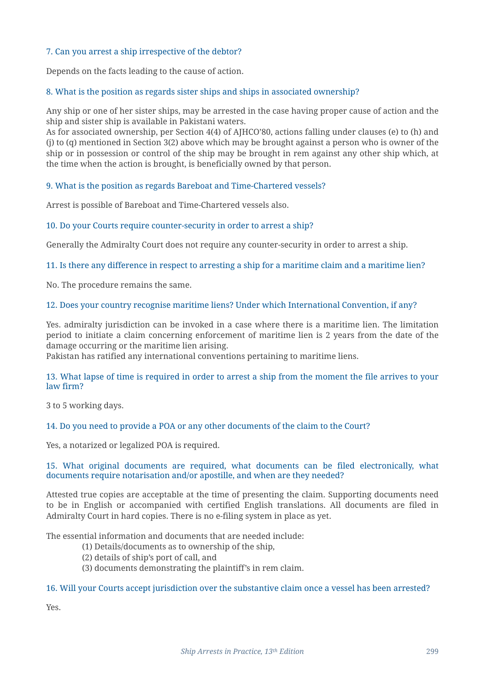# 7. Can you arrest a ship irrespective of the debtor?

Depends on the facts leading to the cause of action.

## 8. What is the position as regards sister ships and ships in associated ownership?

Any ship or one of her sister ships, may be arrested in the case having proper cause of action and the ship and sister ship is available in Pakistani waters.

As for associated ownership, per Section 4(4) of AJHCO'80, actions falling under clauses (e) to (h) and (j) to (q) mentioned in Section 3(2) above which may be brought against a person who is owner of the ship or in possession or control of the ship may be brought in rem against any other ship which, at the time when the action is brought, is beneficially owned by that person.

## 9. What is the position as regards Bareboat and Time-Chartered vessels?

Arrest is possible of Bareboat and Time-Chartered vessels also.

## 10. Do your Courts require counter-security in order to arrest a ship?

Generally the Admiralty Court does not require any counter-security in order to arrest a ship.

## 11. Is there any difference in respect to arresting a ship for a maritime claim and a maritime lien?

No. The procedure remains the same.

## 12. Does your country recognise maritime liens? Under which International Convention, if any?

Yes. admiralty jurisdiction can be invoked in a case where there is a maritime lien. The limitation period to initiate a claim concerning enforcement of maritime lien is 2 years from the date of the damage occurring or the maritime lien arising.

Pakistan has ratified any international conventions pertaining to maritime liens.

## 13. What lapse of time is required in order to arrest a ship from the moment the file arrives to your law firm?

3 to 5 working days.

#### 14. Do you need to provide a POA or any other documents of the claim to the Court?

Yes, a notarized or legalized POA is required.

#### 15. What original documents are required, what documents can be filed electronically, what documents require notarisation and/or apostille, and when are they needed?

Attested true copies are acceptable at the time of presenting the claim. Supporting documents need to be in English or accompanied with certified English translations. All documents are filed in Admiralty Court in hard copies. There is no e-filing system in place as yet.

The essential information and documents that are needed include:

- (1) Details/documents as to ownership of the ship,
- (2) details of ship's port of call, and
- (3) documents demonstrating the plaintiff's in rem claim.

#### 16. Will your Courts accept jurisdiction over the substantive claim once a vessel has been arrested?

Yes.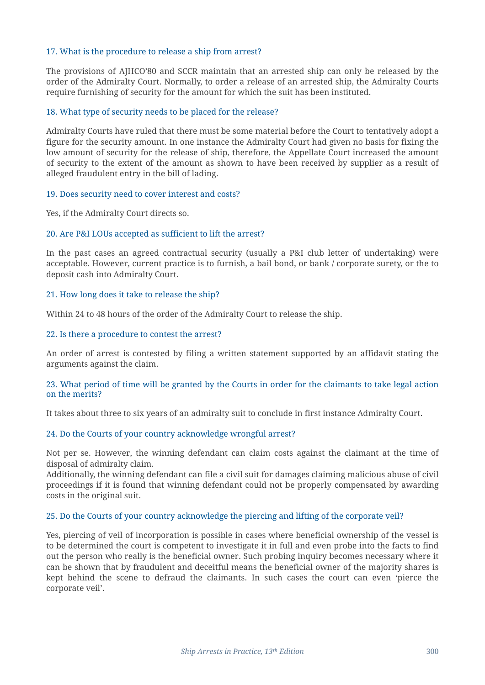## 17. What is the procedure to release a ship from arrest?

The provisions of AJHCO'80 and SCCR maintain that an arrested ship can only be released by the order of the Admiralty Court. Normally, to order a release of an arrested ship, the Admiralty Courts require furnishing of security for the amount for which the suit has been instituted.

## 18. What type of security needs to be placed for the release?

Admiralty Courts have ruled that there must be some material before the Court to tentatively adopt a figure for the security amount. In one instance the Admiralty Court had given no basis for fixing the low amount of security for the release of ship, therefore, the Appellate Court increased the amount of security to the extent of the amount as shown to have been received by supplier as a result of alleged fraudulent entry in the bill of lading.

#### 19. Does security need to cover interest and costs?

Yes, if the Admiralty Court directs so.

## 20. Are P&I LOUs accepted as sufficient to lift the arrest?

In the past cases an agreed contractual security (usually a P&I club letter of undertaking) were acceptable. However, current practice is to furnish, a bail bond, or bank / corporate surety, or the to deposit cash into Admiralty Court.

#### 21. How long does it take to release the ship?

Within 24 to 48 hours of the order of the Admiralty Court to release the ship.

#### 22. Is there a procedure to contest the arrest?

An order of arrest is contested by filing a written statement supported by an affidavit stating the arguments against the claim.

#### 23. What period of time will be granted by the Courts in order for the claimants to take legal action on the merits?

It takes about three to six years of an admiralty suit to conclude in first instance Admiralty Court.

#### 24. Do the Courts of your country acknowledge wrongful arrest?

Not per se. However, the winning defendant can claim costs against the claimant at the time of disposal of admiralty claim.

Additionally, the winning defendant can file a civil suit for damages claiming malicious abuse of civil proceedings if it is found that winning defendant could not be properly compensated by awarding costs in the original suit.

#### 25. Do the Courts of your country acknowledge the piercing and lifting of the corporate veil?

Yes, piercing of veil of incorporation is possible in cases where beneficial ownership of the vessel is to be determined the court is competent to investigate it in full and even probe into the facts to find out the person who really is the beneficial owner. Such probing inquiry becomes necessary where it can be shown that by fraudulent and deceitful means the beneficial owner of the majority shares is kept behind the scene to defraud the claimants. In such cases the court can even 'pierce the corporate veil'.